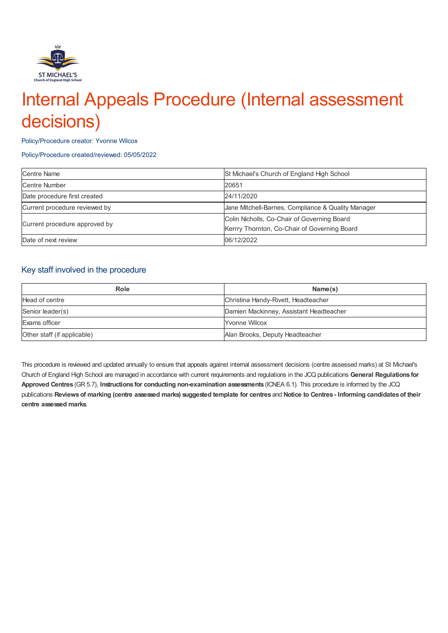

# Internal Appeals Procedure (Internal assessment decisions)

Policy/Procedure creator: Yvonne Wilcox

#### Policy/Procedure created/reviewed: 05/05/2022

| <b>Centre Name</b>            | St Michael's Church of England High School         |
|-------------------------------|----------------------------------------------------|
| Centre Number                 | 20651                                              |
| Date procedure first created  | 24/11/2020                                         |
| Current procedure reviewed by | Jane Mitchell-Barnes, Compliance & Quality Manager |
| Current procedure approved by | Colin Nicholls, Co-Chair of Governing Board        |
|                               | Kerrry Thornton, Co-Chair of Governing Board       |
| Date of next review           | 06/12/2022                                         |

### Key staff involved in the procedure

| Role                        | Name(s)                                 |
|-----------------------------|-----------------------------------------|
| Head of centre              | Christina Handy-Rivett, Headteacher     |
| Senior leader(s)            | Damien Mackinney, Assistant Headteacher |
| Exams officer               | Yvonne Wilcox                           |
| Other staff (if applicable) | Alan Brooks, Deputy Headteacher         |

This procedure is reviewed and updated annually to ensure that appeals against internal assessment decisions (centre assessed marks) at St Michael's Church of England High School are managed in accordance with current requirements and regulations in the JCQ publications **General Regulations for Approved Centres** (GR 5.7), **Instructions for conducting non-examination assessments** (ICNEA 6.1). This procedure is informed by the JCQ publications Reviews of marking (centre assessed marks) suggested template for centres and Notice to Centres - Informing candidates of their **centre assessed marks**.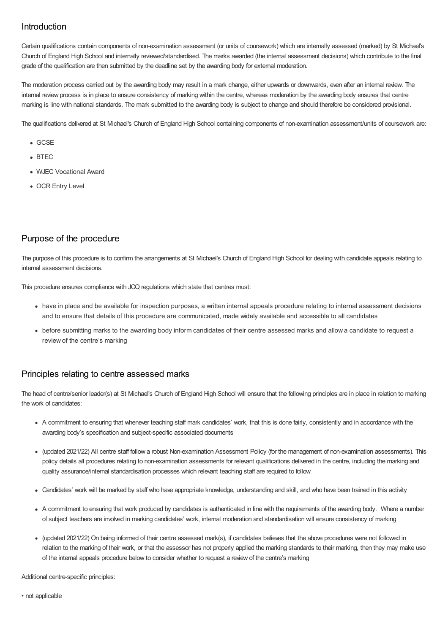## Introduction

Certain qualifications contain components of non-examination assessment (or units of coursework) which are internally assessed (marked) by St Michael's Church of England High School and internally reviewed/standardised. The marks awarded (the internal assessment decisions) which contribute to the final grade of the qualification are then submitted by the deadline set by the awarding body for external moderation.

The moderation process carried out by the awarding body may result in a mark change, either upwards or downwards, even after an internal review. The internal review process is in place to ensure consistency of marking within the centre, whereas moderation by the awarding body ensures that centre marking is line with national standards. The mark submitted to the awarding body is subject to change and should therefore be considered provisional.

The qualifications delivered at St Michael's Church of England High School containing components of non-examination assessment/units of coursework are:

- GCSE
- $B = BTEC$
- WJEC Vocational Award
- OCR Entry Level

## Purpose of the procedure

The purpose of this procedure is to confirm the arrangements at St Michael's Church of England High School for dealing with candidate appeals relating to internal assessment decisions.

This procedure ensures compliance with JCQ regulations which state that centres must:

- have in place and be available for inspection purposes, a written internal appeals procedure relating to internal assessment decisions and to ensure that details of this procedure are communicated, made widely available and accessible to all candidates
- before submitting marks to the awarding body inform candidates of their centre assessed marks and allow a candidate to request a review of the centre's marking

#### Principles relating to centre assessed marks

The head of centre/senior leader(s) at St Michael's Church of England High School will ensure that the following principles are in place in relation to marking the work of candidates:

- A commitment to ensuring that whenever teaching staff mark candidates' work, that this is done fairly, consistently and in accordance with the awarding body's specification and subject-specific associated documents
- (updated 2021/22) All centre staff follow a robust Non-examination Assessment Policy (for the management of non-examination assessments). This policy details all procedures relating to non-examination assessments for relevant qualifications delivered in the centre, including the marking and quality assurance/internal standardisation processes which relevant teaching staff are required to follow
- Candidates' work will be marked by staff who have appropriate knowledge, understanding and skill, and who have been trained in this activity
- A commitment to ensuring that work produced by candidates is authenticated in line with the requirements of the awarding body. Where a number of subject teachers are involved in marking candidates' work, internal moderation and standardisation will ensure consistency of marking
- (updated 2021/22) On being informed of their centre assessed mark(s), if candidates believes that the above procedures were not followed in relation to the marking of their work, or that the assessor has not properly applied the marking standards to their marking, then they may make use of the internal appeals procedure below to consider whether to request a review of the centre's marking

Additional centre-specific principles: